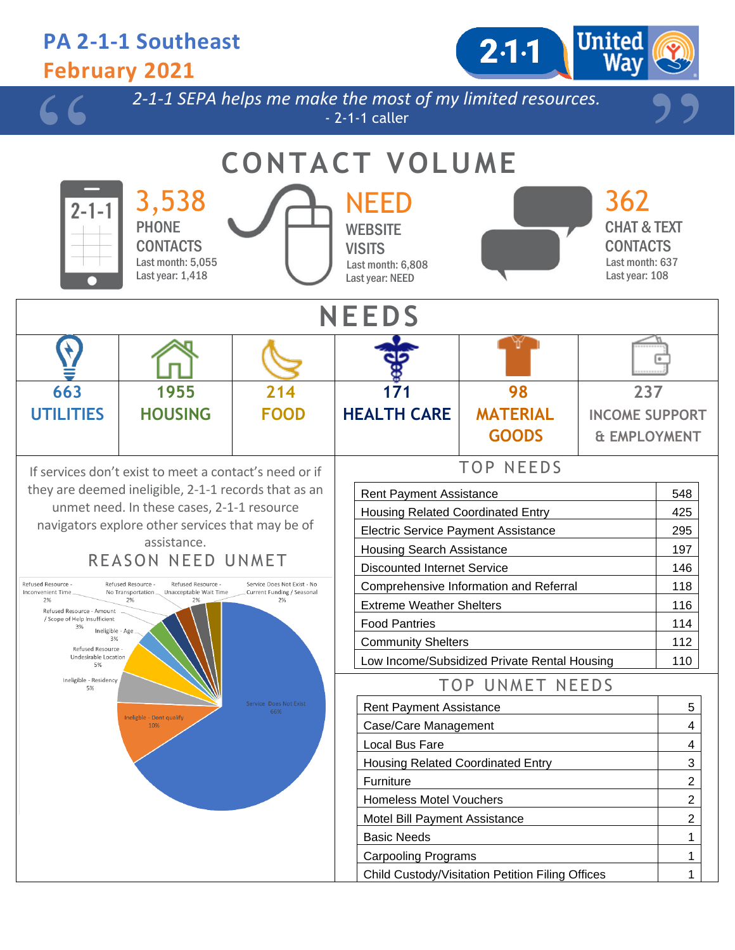### **PA 2-1-1 Southeast February 2021**



*2-1-1 SEPA helps me make the most of my limited resources.* - 2-1-1 caller

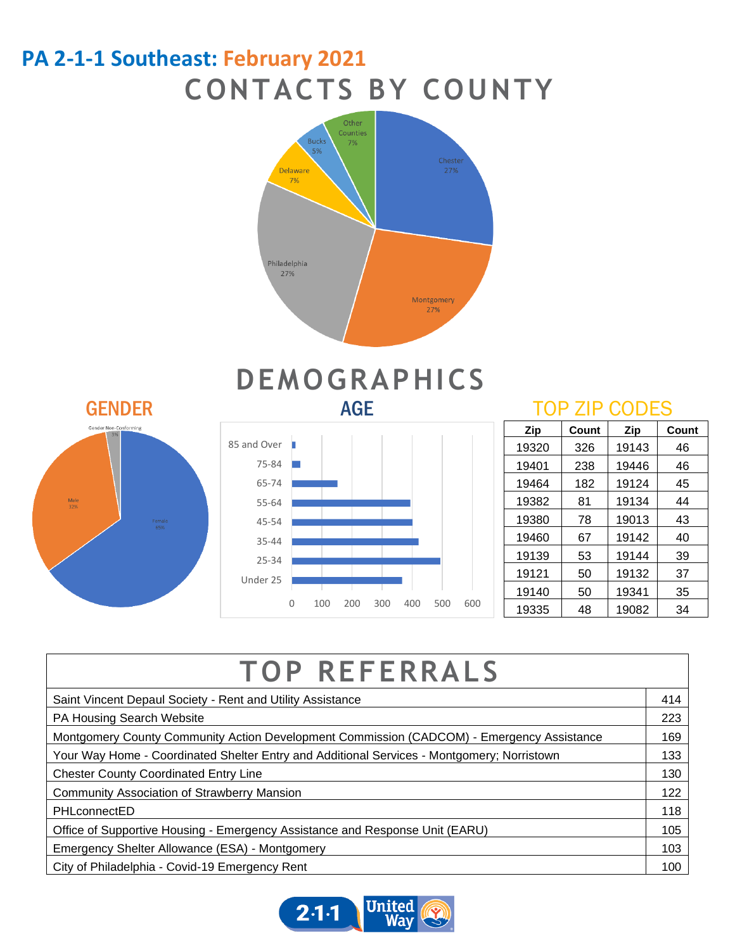### **PA 2-1-1 Southeast: February 2021 CONTACTS BY COUNTY**





# **DEMOGRAPHICS**



| Zip   | Count | Zip   | Count |
|-------|-------|-------|-------|
| 19320 | 326   | 19143 | 46    |
| 19401 | 238   | 19446 | 46    |
| 19464 | 182   | 19124 | 45    |
| 19382 | 81    | 19134 | 44    |
| 19380 | 78    | 19013 | 43    |
| 19460 | 67    | 19142 | 40    |
| 19139 | 53    | 19144 | 39    |
| 19121 | 50    | 19132 | 37    |
| 19140 | 50    | 19341 | 35    |
| 19335 | 48    | 19082 | 34    |

| <b>TOP REFERRALS</b>                                                                       |  |  |  |  |
|--------------------------------------------------------------------------------------------|--|--|--|--|
| Saint Vincent Depaul Society - Rent and Utility Assistance                                 |  |  |  |  |
| PA Housing Search Website                                                                  |  |  |  |  |
| Montgomery County Community Action Development Commission (CADCOM) - Emergency Assistance  |  |  |  |  |
| Your Way Home - Coordinated Shelter Entry and Additional Services - Montgomery; Norristown |  |  |  |  |
| <b>Chester County Coordinated Entry Line</b>                                               |  |  |  |  |
| <b>Community Association of Strawberry Mansion</b>                                         |  |  |  |  |
| PHLconnectED                                                                               |  |  |  |  |
| Office of Supportive Housing - Emergency Assistance and Response Unit (EARU)               |  |  |  |  |
| Emergency Shelter Allowance (ESA) - Montgomery                                             |  |  |  |  |
| City of Philadelphia - Covid-19 Emergency Rent                                             |  |  |  |  |